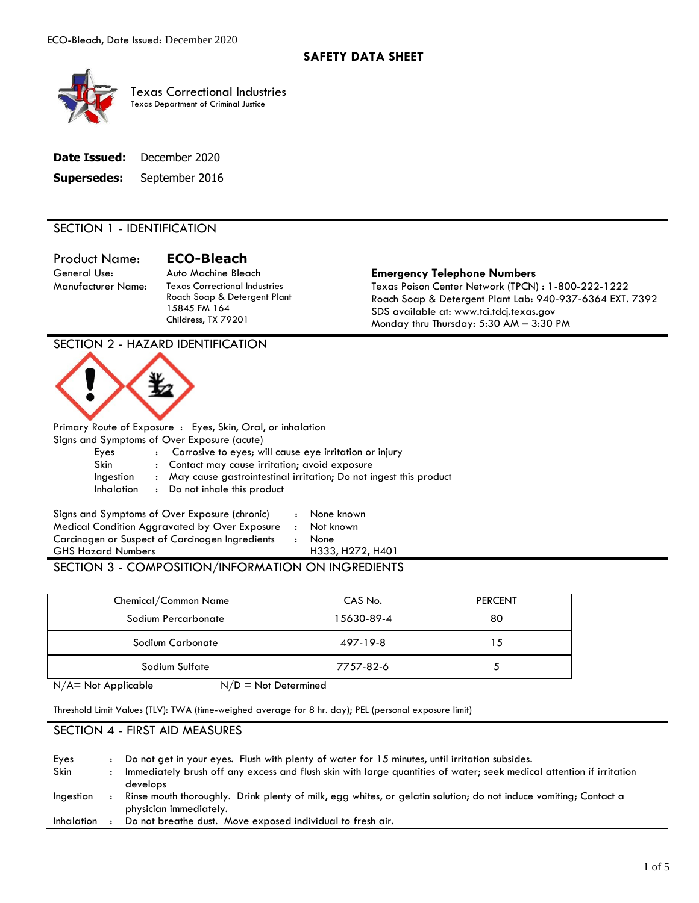

 Texas Department of Criminal Justice Texas Correctional Industries

|             | <b>Date Issued:</b> December 2020 |
|-------------|-----------------------------------|
| Supersedes: | September 2016                    |

## SECTION 1 - IDENTIFICATION

General Use: Product Name: **ECO-Bleach** 

15845 FM 164 Childress, TX 79201

## Auto Machine Bleach **Emergency Telephone Numbers**

Manufacturer Name: Texas Correctional Industries Texas Poison Center Network (TPCN) : 1-800-222-1222 Roach Soap & Detergent Plant Lab: 940-937-6364 EXT. 7392 SDS available at:<www.tci.tdcj.texas.gov><br>Monday thru Thursday: 5:30 AM – 3:30 PM

## SECTION 2 - HAZARD IDENTIFICATION



Primary Route of Exposure : Eyes, Skin, Oral, or inhalation Signs and Symptoms of Over Exposure (acute)

| Eyes       | : Corrosive to eyes; will cause eye irritation or injury            |
|------------|---------------------------------------------------------------------|
| Skin       | : Contact may cause irritation; avoid exposure                      |
| Ingestion  | : May cause gastrointestinal irritation; Do not ingest this product |
| Inhalation | : Do not inhale this product                                        |
|            |                                                                     |

| Signs and Symptoms of Over Exposure (chronic)   | None   |
|-------------------------------------------------|--------|
| Medical Condition Aggravated by Over Exposure   | Not kr |
| Carcinogen or Suspect of Carcinogen Ingredients | None   |
| <b>GHS Hazard Numbers</b>                       | H333   |

None known

Not known

 SECTION 3 - COMPOSITION/INFORMATION ON INGREDIENTS H333, H272, H401

| Chemical/Common Name | CAS No.    | <b>PERCENT</b> |
|----------------------|------------|----------------|
| Sodium Percarbonate  | 15630-89-4 | 80             |
| Sodium Carbonate     | 497-19-8   | 15             |
| Sodium Sulfate       | 7757-82-6  |                |
|                      |            |                |

 $N/A$  = Not Applicable  $N/D$  = Not Determined

Threshold Limit Values (TLV): TWA (time-weighed average for 8 hr. day); PEL (personal exposure limit)

## SECTION 4 - FIRST AID MEASURES

| Eyes              | Do not get in your eyes. Flush with plenty of water for 15 minutes, until irritation subsides.                       |
|-------------------|----------------------------------------------------------------------------------------------------------------------|
| Skin              | Immediately brush off any excess and flush skin with large quantities of water; seek medical attention if irritation |
|                   | develops                                                                                                             |
| Ingestion         | Rinse mouth thoroughly. Drink plenty of milk, egg whites, or gelatin solution; do not induce vomiting; Contact a     |
|                   | physician immediately.                                                                                               |
| <b>Inhalation</b> | Do not breathe dust. Move exposed individual to fresh air.                                                           |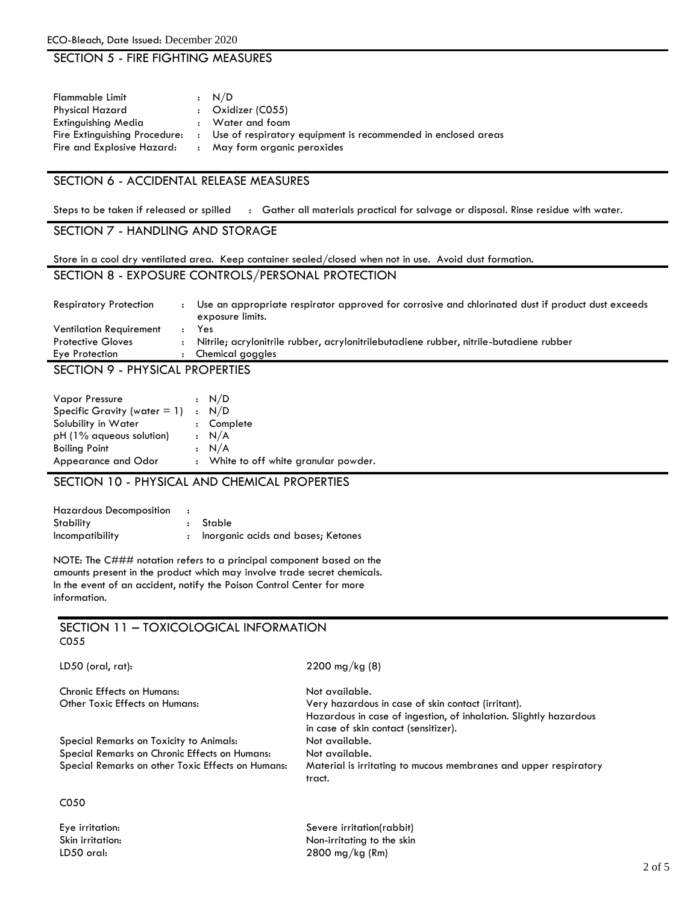## SECTION 5 - FIRE FIGHTING MEASURES

| Flammable Limit                                             | : N/D                                                                                           |
|-------------------------------------------------------------|-------------------------------------------------------------------------------------------------|
| Physical Hazard                                             | $:$ Oxidizer (C055)                                                                             |
| Extinguishing Media                                         | : Water and foam                                                                                |
| Fire Extinguishing Procedure:<br>Fire and Explosive Hazard: | : Use of respiratory equipment is recommended in enclosed areas<br>: May form organic peroxides |

## SECTION 6 - ACCIDENTAL RELEASE MEASURES

Steps to be taken if released or spilled : Gather all materials practical for salvage or disposal. Rinse residue with water.

## SECTION 7 - HANDLING AND STORAGE

| Store in a cool dry ventilated area. Keep container sealed/closed when not in use. Avoid dust formation. |  |
|----------------------------------------------------------------------------------------------------------|--|
|----------------------------------------------------------------------------------------------------------|--|

SECTION 8 - EXPOSURE CONTROLS/PERSONAL PROTECTION

| <b>Respiratory Protection</b>  | $\ddot{\phantom{a}}$ | Use an appropriate respirator approved for corrosive and chlorinated dust if product dust exceeds<br>exposure limits. |
|--------------------------------|----------------------|-----------------------------------------------------------------------------------------------------------------------|
| <b>Ventilation Requirement</b> |                      | Yes                                                                                                                   |
| <b>Protective Gloves</b>       |                      | Nitrile; acrylonitrile rubber, acrylonitrilebutadiene rubber, nitrile-butadiene rubber                                |
| Eye Protection                 |                      | Chemical goggles                                                                                                      |
| $C$ $C$ $T$ $C$ $L$ $L$ $C$    |                      | <b>NUMCLO &amp; LABOREDTIEC</b>                                                                                       |

#### SECTION 9 - PHYSICAL PROPERTIES

| <b>Vapor Pressure</b>                                  | : N/D                                 |
|--------------------------------------------------------|---------------------------------------|
| Specific Gravity (water $= 1$ )<br>Solubility in Water | : N/D<br>: Complete                   |
| pH (1% aqueous solution)                               | : N/A                                 |
| <b>Boiling Point</b>                                   | : N/A                                 |
| Appearance and Odor                                    | : White to off white granular powder. |

SECTION 10 - PHYSICAL AND CHEMICAL PROPERTIES

| <b>Hazardous Decomposition</b>       |                                    |
|--------------------------------------|------------------------------------|
| Stability                            | : Stable                           |
| <i><u><b>Incompatibility</b></u></i> | Inorganic acids and bases; Ketones |

NOTE: The C### notation refers to a principal component based on the amounts present in the product which may involve trade secret chemicals. In the event of an accident, notify the Poison Control Center for more information.

#### SECTION 11 – TOXICOLOGICAL INFORMATION C055

LD50 (oral, rat): 2200 mg/kg (8)

| Other Toxic Effects on Humans: |  |  |  |  |
|--------------------------------|--|--|--|--|
|                                |  |  |  |  |
|                                |  |  |  |  |

Special Remarks on Toxicity to Animals: Not available. Special Remarks on Chronic Effects on Humans: Not available.

C050

Chronic Effects on Humans: Not available. Very hazardous in case of skin contact (irritant). Hazardous in case of ingestion, of inhalation. Slightly hazardous in case of skin contact (sensitizer). Special Remarks on other Toxic Effects on Humans: Material is irritating to mucous membranes and upper respiratory tract.

Eye irritation: Severe irritation(rabbit) Skin irritation: Non-irritating to the skin Non-irritating to the skin UD50 oral: 2800 ma/ka (Rm) 2800 mg/kg (Rm)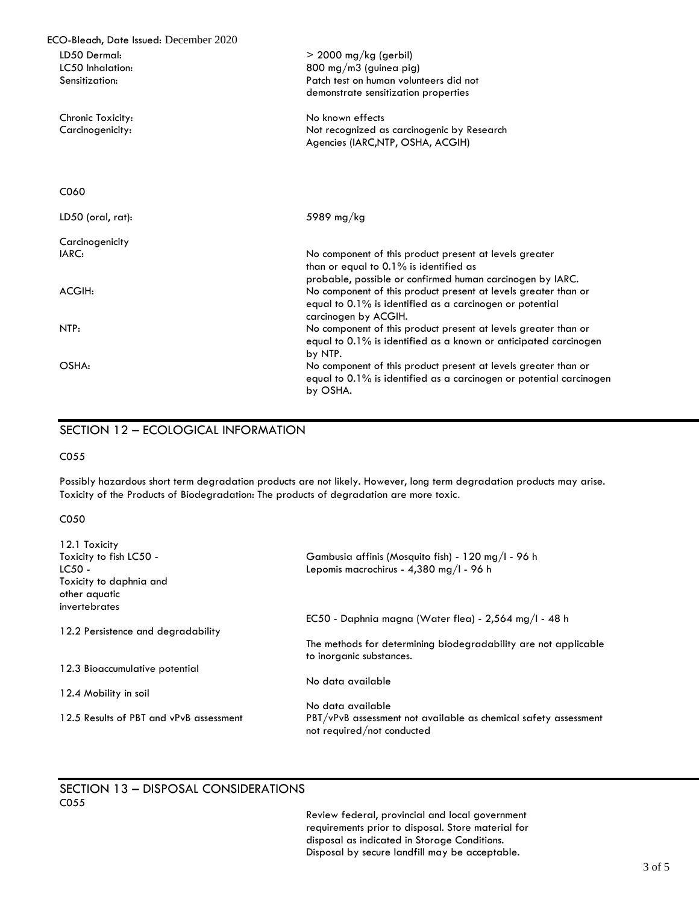| ECO-Bleach, Date Issued: December 2020 |                                                                        |
|----------------------------------------|------------------------------------------------------------------------|
| LD50 Dermal:                           | $>$ 2000 mg/kg (gerbil)                                                |
| LC50 Inhalation:                       | $800 \text{ mg/m}$ 3 (guinea pig)                                      |
| Sensitization:                         | Patch test on human volunteers did not                                 |
|                                        | demonstrate sensitization properties                                   |
| Chronic Toxicity:                      | No known effects                                                       |
| Carcinogenicity:                       | Not recognized as carcinogenic by Research                             |
|                                        | Agencies (IARC, NTP, OSHA, ACGIH)                                      |
|                                        |                                                                        |
| C <sub>06</sub> 0                      |                                                                        |
| LD50 (oral, rat):                      | 5989 mg/kg                                                             |
| Carcinogenicity                        |                                                                        |
| IARC:                                  | No component of this product present at levels greater                 |
|                                        | than or equal to 0.1% is identified as                                 |
|                                        | probable, possible or confirmed human carcinogen by IARC.              |
| ACGIH:                                 | No component of this product present at levels greater than or         |
|                                        | equal to 0.1% is identified as a carcinogen or potential               |
|                                        | carcinogen by ACGIH.                                                   |
| NTP:                                   | No component of this product present at levels greater than or         |
|                                        | equal to 0.1% is identified as a known or anticipated carcinogen       |
|                                        | by NTP.                                                                |
| OSHA:                                  | No component of this product present at levels greater than or         |
|                                        | equal to $0.1\%$ is identified as a carcinogen or potential carcinogen |
|                                        | by OSHA.                                                               |

# SECTION 12 – ECOLOGICAL INFORMATION

C055

 Possibly hazardous short term degradation products are not likely. However, long term degradation products may arise. Toxicity of the Products of Biodegradation: The products of degradation are more toxic.

#### C050

| 12.1 Toxicity                           |                                                                                               |
|-----------------------------------------|-----------------------------------------------------------------------------------------------|
| Toxicity to fish LC50 -                 | Gambusia affinis (Mosquito fish) - 120 mg/l - 96 h                                            |
| $LC50 -$                                | Lepomis macrochirus - 4,380 mg/l - 96 h                                                       |
| Toxicity to daphnia and                 |                                                                                               |
| other aguatic                           |                                                                                               |
| invertebrates                           |                                                                                               |
|                                         | EC50 - Daphnia magna (Water flea) - 2,564 mg/l - 48 h                                         |
| 12.2 Persistence and degradability      |                                                                                               |
|                                         | The methods for determining biodegradability are not applicable<br>to inorganic substances.   |
| 12.3 Bioaccumulative potential          |                                                                                               |
|                                         | No data available                                                                             |
| 12.4 Mobility in soil                   |                                                                                               |
|                                         | No data available                                                                             |
| 12.5 Results of PBT and vPvB assessment | PBT/vPvB assessment not available as chemical safety assessment<br>not required/not conducted |

#### SECTION 13 – DISPOSAL CONSIDERATIONS C055

Review federal, provincial and local government requirements prior to disposal. Store material for disposal as indicated in Storage Conditions. Disposal by secure landfill may be acceptable.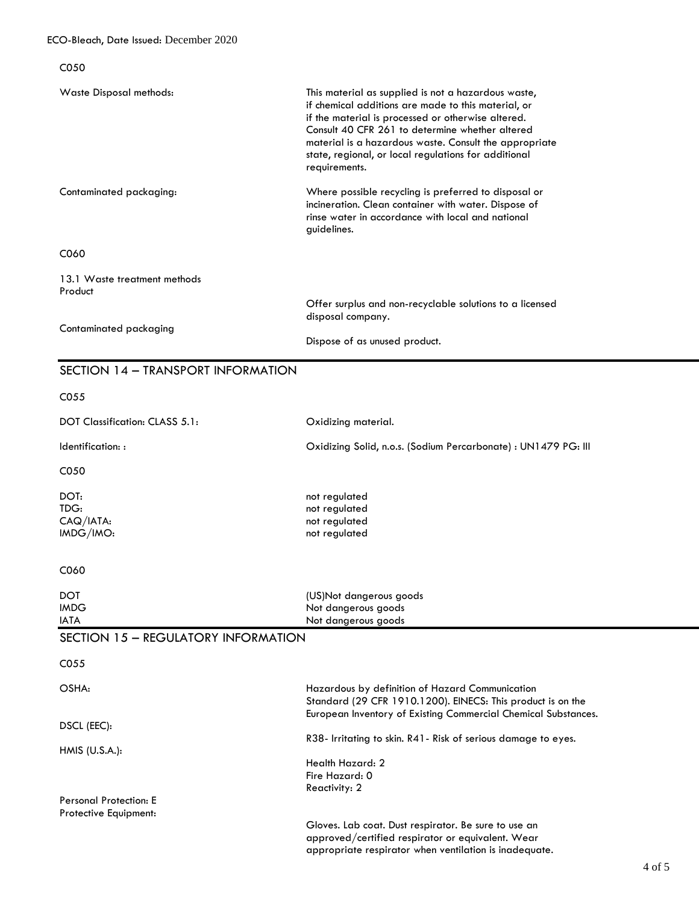| C050                                                                      |                                                                                                                                                                                                                                                                                                                                                        |
|---------------------------------------------------------------------------|--------------------------------------------------------------------------------------------------------------------------------------------------------------------------------------------------------------------------------------------------------------------------------------------------------------------------------------------------------|
| Waste Disposal methods:                                                   | This material as supplied is not a hazardous waste,<br>if chemical additions are made to this material, or<br>if the material is processed or otherwise altered.<br>Consult 40 CFR 261 to determine whether altered<br>material is a hazardous waste. Consult the appropriate<br>state, regional, or local regulations for additional<br>requirements. |
| Contaminated packaging:                                                   | Where possible recycling is preferred to disposal or<br>incineration. Clean container with water. Dispose of<br>rinse water in accordance with local and national<br>guidelines.                                                                                                                                                                       |
| C060                                                                      |                                                                                                                                                                                                                                                                                                                                                        |
| 13.1 Waste treatment methods<br>Product                                   |                                                                                                                                                                                                                                                                                                                                                        |
|                                                                           | Offer surplus and non-recyclable solutions to a licensed<br>disposal company.                                                                                                                                                                                                                                                                          |
| Contaminated packaging                                                    | Dispose of as unused product.                                                                                                                                                                                                                                                                                                                          |
| SECTION 14 - TRANSPORT INFORMATION                                        |                                                                                                                                                                                                                                                                                                                                                        |
| CO <sub>55</sub>                                                          |                                                                                                                                                                                                                                                                                                                                                        |
| DOT Classification: CLASS 5.1:                                            | Oxidizing material.                                                                                                                                                                                                                                                                                                                                    |
| Identification::                                                          | Oxidizing Solid, n.o.s. (Sodium Percarbonate) : UN1479 PG: III                                                                                                                                                                                                                                                                                         |
| C050                                                                      |                                                                                                                                                                                                                                                                                                                                                        |
| DOT:<br>TDG:<br>$CAQ/IATA$ :<br>IMDG/IMO:                                 | not regulated<br>not regulated<br>not regulated<br>not regulated                                                                                                                                                                                                                                                                                       |
| C060                                                                      |                                                                                                                                                                                                                                                                                                                                                        |
| DOT.<br><b>IMDG</b><br><b>IATA</b><br>SECTION 15 - REGULATORY INFORMATION | (US)Not dangerous goods<br>Not dangerous goods<br>Not dangerous goods                                                                                                                                                                                                                                                                                  |
| CO <sub>55</sub>                                                          |                                                                                                                                                                                                                                                                                                                                                        |
| OSHA:                                                                     | Hazardous by definition of Hazard Communication<br>Standard (29 CFR 1910.1200). EINECS: This product is on the                                                                                                                                                                                                                                         |
| DSCL (EEC):                                                               | European Inventory of Existing Commercial Chemical Substances.<br>R38- Irritating to skin. R41- Risk of serious damage to eyes.                                                                                                                                                                                                                        |
| $HMIS$ (U.S.A.):                                                          | Health Hazard: 2<br>Fire Hazard: 0<br>Reactivity: 2                                                                                                                                                                                                                                                                                                    |
| <b>Personal Protection: E</b><br>Protective Equipment:                    |                                                                                                                                                                                                                                                                                                                                                        |

approved/certified respirator or equivalent. Wear appropriate respirator when ventilation is inadequate.